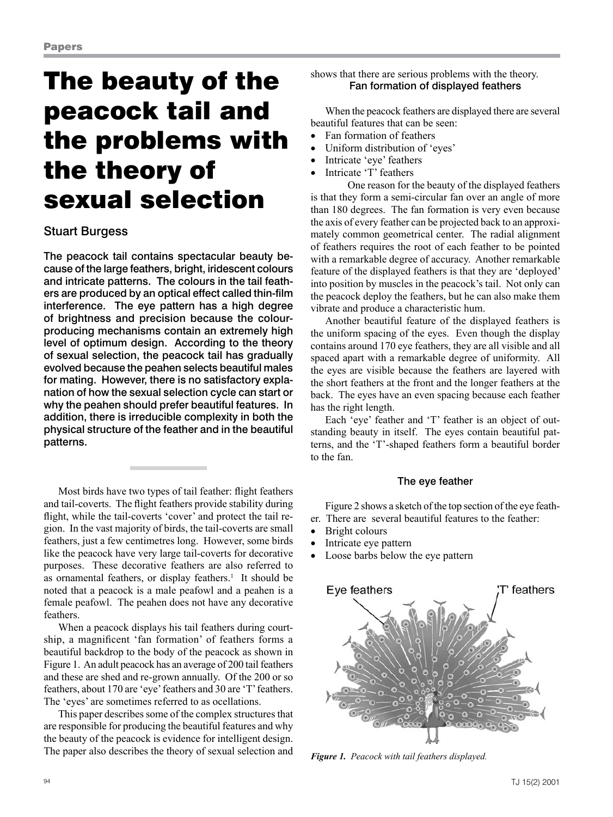# The beauty of the peacock tail and the problems with the theory of sexual selection

# Stuart Burgess

The peacock tail contains spectacular beauty because of the large feathers, bright, iridescent colours and intricate patterns. The colours in the tail feathers are produced by an optical effect called thin-film interference. The eye pattern has a high degree of brightness and precision because the colourproducing mechanisms contain an extremely high level of optimum design. According to the theory of sexual selection, the peacock tail has gradually evolved because the peahen selects beautiful males for mating. However, there is no satisfactory explanation of how the sexual selection cycle can start or why the peahen should prefer beautiful features. In addition, there is irreducible complexity in both the physical structure of the feather and in the beautiful patterns.

Most birds have two types of tail feather: flight feathers and tail-coverts. The flight feathers provide stability during flight, while the tail-coverts 'cover' and protect the tail region. In the vast majority of birds, the tail-coverts are small feathers, just a few centimetres long. However, some birds like the peacock have very large tail-coverts for decorative purposes. These decorative feathers are also referred to as ornamental feathers, or display feathers.<sup>1</sup> It should be noted that a peacock is a male peafowl and a peahen is a female peafowl. The peahen does not have any decorative feathers.

When a peacock displays his tail feathers during courtship, a magnificent 'fan formation' of feathers forms a beautiful backdrop to the body of the peacock as shown in Figure 1. An adult peacock has an average of 200 tail feathers and these are shed and re-grown annually. Of the 200 or so feathers, about 170 are 'eye' feathers and 30 are 'T' feathers. The 'eyes' are sometimes referred to as ocellations.

This paper describes some of the complex structures that are responsible for producing the beautiful features and why the beauty of the peacock is evidence for intelligent design. The paper also describes the theory of sexual selection and shows that there are serious problems with the theory. Fan formation of displayed feathers

When the peacock feathers are displayed there are several beautiful features that can be seen:

- Fan formation of feathers
- Uniform distribution of 'eyes'
- Intricate 'eve' feathers
- Intricate 'T' feathers

One reason for the beauty of the displayed feathers is that they form a semi-circular fan over an angle of more than 180 degrees. The fan formation is very even because the axis of every feather can be projected back to an approximately common geometrical center. The radial alignment of feathers requires the root of each feather to be pointed with a remarkable degree of accuracy. Another remarkable feature of the displayed feathers is that they are 'deployed' into position by muscles in the peacock's tail. Not only can the peacock deploy the feathers, but he can also make them vibrate and produce a characteristic hum.

Another beautiful feature of the displayed feathers is the uniform spacing of the eyes. Even though the display contains around 170 eye feathers, they are all visible and all spaced apart with a remarkable degree of uniformity. All the eyes are visible because the feathers are layered with the short feathers at the front and the longer feathers at the back. The eyes have an even spacing because each feather has the right length.

Each 'eye' feather and 'T' feather is an object of outstanding beauty in itself. The eyes contain beautiful patterns, and the 'T'-shaped feathers form a beautiful border to the fan.

# The eye feather

Figure 2 shows a sketch of the top section of the eye feather. There are several beautiful features to the feather:

- Bright colours
- Intricate eye pattern
- Loose barbs below the eye pattern



*Figure 1. Peacock with tail feathers displayed.*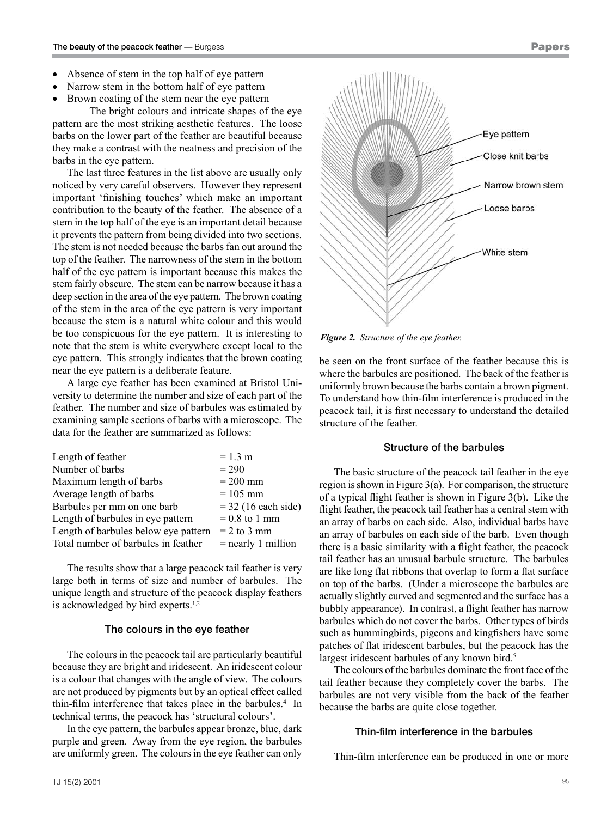- Absence of stem in the top half of eye pattern
- Narrow stem in the bottom half of eye pattern
- Brown coating of the stem near the eye pattern

The bright colours and intricate shapes of the eye pattern are the most striking aesthetic features. The loose barbs on the lower part of the feather are beautiful because they make a contrast with the neatness and precision of the barbs in the eye pattern.

The last three features in the list above are usually only noticed by very careful observers. However they represent important 'finishing touches' which make an important contribution to the beauty of the feather. The absence of a stem in the top half of the eye is an important detail because it prevents the pattern from being divided into two sections. The stem is not needed because the barbs fan out around the top of the feather. The narrowness of the stem in the bottom half of the eye pattern is important because this makes the stem fairly obscure. The stem can be narrow because it has a deep section in the area of the eye pattern. The brown coating of the stem in the area of the eye pattern is very important because the stem is a natural white colour and this would be too conspicuous for the eye pattern. It is interesting to note that the stem is white everywhere except local to the eye pattern. This strongly indicates that the brown coating near the eye pattern is a deliberate feature.

A large eye feather has been examined at Bristol University to determine the number and size of each part of the feather. The number and size of barbules was estimated by examining sample sections of barbs with a microscope. The data for the feather are summarized as follows:

| Length of feather                    | $= 1.3 m$             |
|--------------------------------------|-----------------------|
| Number of barbs                      | $= 290$               |
| Maximum length of barbs              | $= 200$ mm            |
| Average length of barbs              | $= 105$ mm            |
| Barbules per mm on one barb          | $=$ 32 (16 each side) |
| Length of barbules in eye pattern    | $= 0.8$ to 1 mm       |
| Length of barbules below eye pattern | $= 2$ to 3 mm         |
| Total number of barbules in feather  | $=$ nearly 1 million  |
|                                      |                       |

The results show that a large peacock tail feather is very large both in terms of size and number of barbules. The unique length and structure of the peacock display feathers is acknowledged by bird experts.<sup>1,2</sup>

#### The colours in the eye feather

The colours in the peacock tail are particularly beautiful because they are bright and iridescent. An iridescent colour is a colour that changes with the angle of view. The colours are not produced by pigments but by an optical effect called thin-film interference that takes place in the barbules.<sup>4</sup> In technical terms, the peacock has 'structural colours'.

In the eye pattern, the barbules appear bronze, blue, dark purple and green. Away from the eye region, the barbules are uniformly green. The colours in the eye feather can only



*Figure 2. Structure of the eye feather.*

be seen on the front surface of the feather because this is where the barbules are positioned. The back of the feather is uniformly brown because the barbs contain a brown pigment. To understand how thin-film interference is produced in the peacock tail, it is first necessary to understand the detailed structure of the feather.

## Structure of the barbules

The basic structure of the peacock tail feather in the eye region is shown in Figure 3(a). For comparison, the structure of a typical flight feather is shown in Figure 3(b). Like the flight feather, the peacock tail feather has a central stem with an array of barbs on each side. Also, individual barbs have an array of barbules on each side of the barb. Even though there is a basic similarity with a flight feather, the peacock tail feather has an unusual barbule structure. The barbules are like long flat ribbons that overlap to form a flat surface on top of the barbs. (Under a microscope the barbules are actually slightly curved and segmented and the surface has a bubbly appearance). In contrast, a flight feather has narrow barbules which do not cover the barbs. Other types of birds such as hummingbirds, pigeons and kingfishers have some patches of flat iridescent barbules, but the peacock has the largest iridescent barbules of any known bird.<sup>5</sup>

The colours of the barbules dominate the front face of the tail feather because they completely cover the barbs. The barbules are not very visible from the back of the feather because the barbs are quite close together.

#### Thin-film interference in the barbules

Thin-film interference can be produced in one or more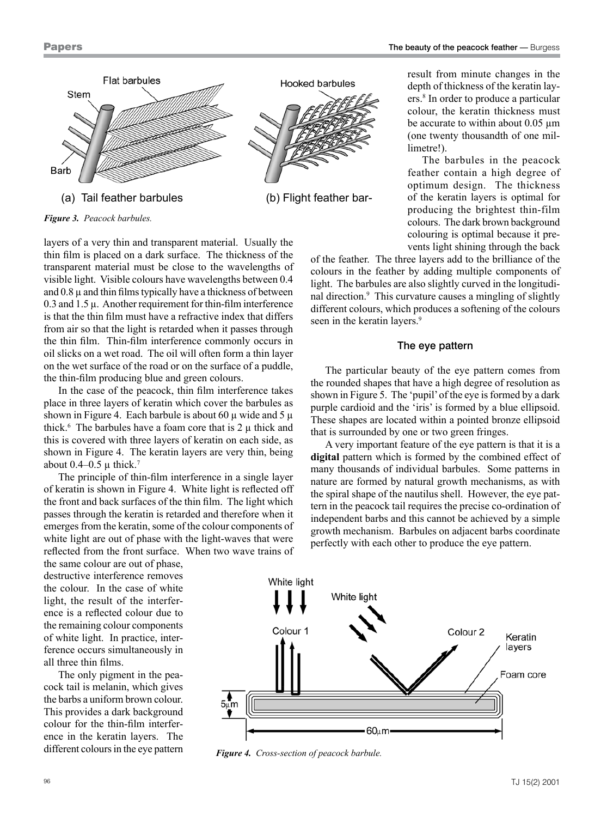

*Figure 3. Peacock barbules.*

layers of a very thin and transparent material. Usually the thin film is placed on a dark surface. The thickness of the transparent material must be close to the wavelengths of visible light. Visible colours have wavelengths between 0.4 and  $0.8 \mu$  and thin films typically have a thickness of between  $0.3$  and  $1.5 \mu$ . Another requirement for thin-film interference is that the thin film must have a refractive index that differs from air so that the light is retarded when it passes through the thin film. Thin-film interference commonly occurs in oil slicks on a wet road. The oil will often form a thin layer on the wet surface of the road or on the surface of a puddle, the thin-film producing blue and green colours.

In the case of the peacock, thin film interference takes place in three layers of keratin which cover the barbules as shown in Figure 4. Each barbule is about 60  $\mu$  wide and 5  $\mu$ thick.<sup>6</sup> The barbules have a foam core that is  $2 \mu$  thick and this is covered with three layers of keratin on each side, as shown in Figure 4. The keratin layers are very thin, being about  $0.4-0.5 \mu$  thick.<sup>7</sup>

The principle of thin-film interference in a single layer of keratin is shown in Figure 4. White light is reflected off the front and back surfaces of the thin film. The light which passes through the keratin is retarded and therefore when it emerges from the keratin, some of the colour components of white light are out of phase with the light-waves that were reflected from the front surface. When two wave trains of

the same colour are out of phase, destructive interference removes the colour. In the case of white light, the result of the interference is a reflected colour due to the remaining colour components of white light. In practice, interference occurs simultaneously in all three thin films.

The only pigment in the peacock tail is melanin, which gives the barbs a uniform brown colour. This provides a dark background colour for the thin-film interference in the keratin layers. The different colours in the eye pattern result from minute changes in the depth of thickness of the keratin layers.8 In order to produce a particular colour, the keratin thickness must be accurate to within about 0.05 um (one twenty thousandth of one millimetre!)

The barbules in the peacock feather contain a high degree of optimum design. The thickness of the keratin layers is optimal for producing the brightest thin-film colours. The dark brown background colouring is optimal because it prevents light shining through the back

of the feather. The three layers add to the brilliance of the colours in the feather by adding multiple components of light. The barbules are also slightly curved in the longitudinal direction.<sup>9</sup> This curvature causes a mingling of slightly different colours, which produces a softening of the colours seen in the keratin layers.<sup>9</sup>

### The eye pattern

The particular beauty of the eye pattern comes from the rounded shapes that have a high degree of resolution as shown in Figure 5. The 'pupil' of the eye is formed by a dark purple cardioid and the 'iris' is formed by a blue ellipsoid. These shapes are located within a pointed bronze ellipsoid that is surrounded by one or two green fringes.

A very important feature of the eye pattern is that it is a **digital** pattern which is formed by the combined effect of many thousands of individual barbules. Some patterns in nature are formed by natural growth mechanisms, as with the spiral shape of the nautilus shell. However, the eye pattern in the peacock tail requires the precise co-ordination of independent barbs and this cannot be achieved by a simple growth mechanism. Barbules on adjacent barbs coordinate perfectly with each other to produce the eye pattern.



*Figure 4. Cross-section of peacock barbule.*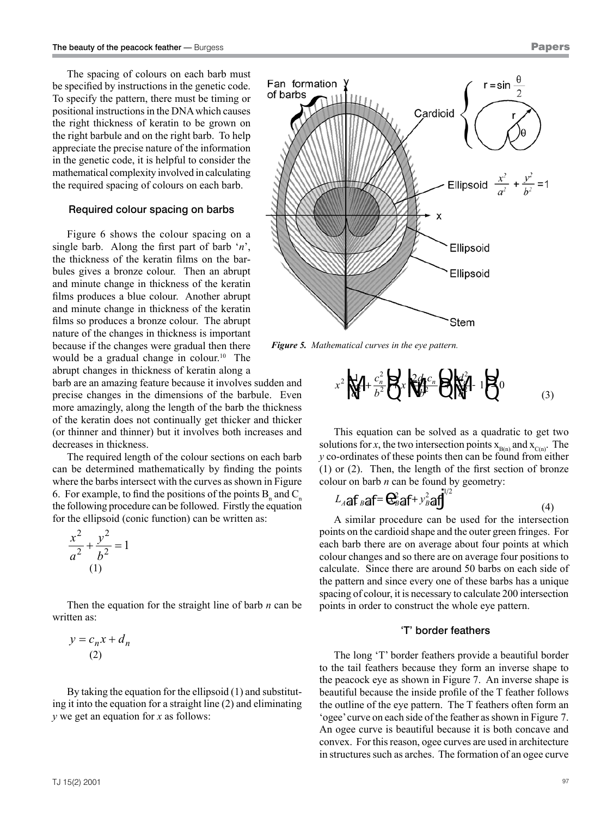The spacing of colours on each barb must be specified by instructions in the genetic code. To specify the pattern, there must be timing or positional instructions in the DNA which causes the right thickness of keratin to be grown on the right barbule and on the right barb. To help appreciate the precise nature of the information in the genetic code, it is helpful to consider the mathematical complexity involved in calculating the required spacing of colours on each barb.

## Required colour spacing on barbs

Figure 6 shows the colour spacing on a single barb. Along the first part of barb '*n*', the thickness of the keratin films on the barbules gives a bronze colour. Then an abrupt and minute change in thickness of the keratin films produces a blue colour. Another abrupt and minute change in thickness of the keratin films so produces a bronze colour. The abrupt nature of the changes in thickness is important because if the changes were gradual then there would be a gradual change in colour.<sup>10</sup> The abrupt changes in thickness of keratin along a

barb are an amazing feature because it involves sudden and precise changes in the dimensions of the barbule. Even more amazingly, along the length of the barb the thickness of the keratin does not continually get thicker and thicker (or thinner and thinner) but it involves both increases and decreases in thickness.

The required length of the colour sections on each barb can be determined mathematically by finding the points where the barbs intersect with the curves as shown in Figure 6. For example, to find the positions of the points  $B_n$  and  $C_n$ the following procedure can be followed. Firstly the equation for the ellipsoid (conic function) can be written as:

$$
\frac{x^2}{a^2} + \frac{y^2}{b^2} = 1
$$
  
(1)

Then the equation for the straight line of barb *n* can be written as:

$$
y = c_n x + d_n
$$
  
(2)

By taking the equation for the ellipsoid (1) and substituting it into the equation for a straight line (2) and eliminating *y* we get an equation for *x* as follows:



*Figure 5. Mathematical curves in the eye pattern.*

$$
x^{2}\sqrt{\frac{1}{N}} + \frac{c_{n}^{2}}{b^{2}}\sqrt{\frac{1}{N}}x\sqrt{\frac{c_{n}^{2}c_{n}}{b^{2}}}\sqrt{\frac{1}{N}} - 1\sqrt{\frac{1}{N}} = 0
$$
\n(3)

This equation can be solved as a quadratic to get two solutions for *x*, the two intersection points  $x_{B(n)}$  and  $x_{C(n)}$ . The *y* co-ordinates of these points then can be found from either (1) or (2). Then, the length of the first section of bronze colour on barb *n* can be found by geometry:

$$
L_{A}\text{a}f_{B}\text{a}f=\mathbf{C}_{B}^{2}\text{a}f+y_{B}^{2}\text{a}f^{\frac{1}{2}}\tag{4}
$$

A similar procedure can be used for the intersection points on the cardioid shape and the outer green fringes. For each barb there are on average about four points at which colour changes and so there are on average four positions to calculate. Since there are around 50 barbs on each side of the pattern and since every one of these barbs has a unique spacing of colour, it is necessary to calculate 200 intersection points in order to construct the whole eye pattern.

### 'T' border feathers

The long 'T' border feathers provide a beautiful border to the tail feathers because they form an inverse shape to the peacock eye as shown in Figure 7. An inverse shape is beautiful because the inside profile of the T feather follows the outline of the eye pattern. The T feathers often form an 'ogee' curve on each side of the feather as shown in Figure 7. An ogee curve is beautiful because it is both concave and convex. For this reason, ogee curves are used in architecture in structures such as arches. The formation of an ogee curve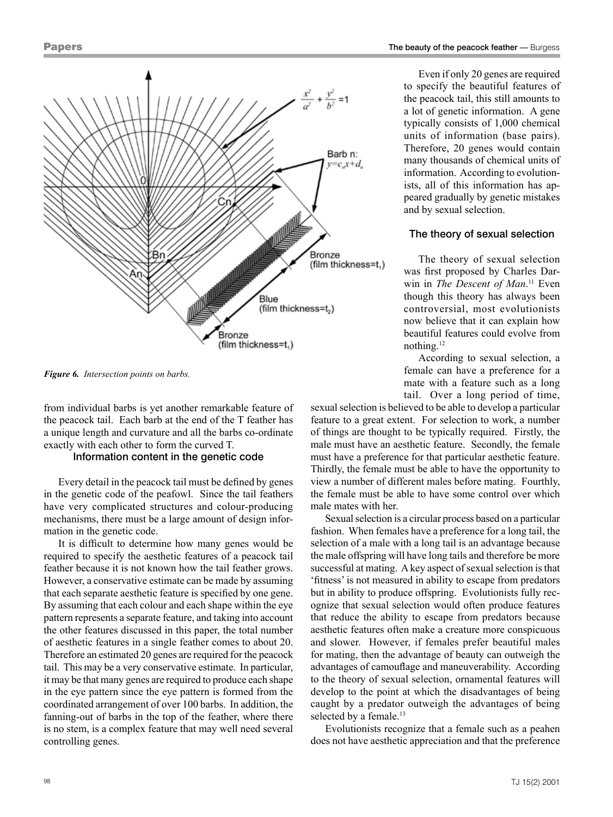

*Figure 6. Intersection points on barbs.*

from individual barbs is yet another remarkable feature of the peacock tail. Each barb at the end of the T feather has a unique length and curvature and all the barbs co-ordinate exactly with each other to form the curved T.

#### Information content in the genetic code

Every detail in the peacock tail must be defined by genes in the genetic code of the peafowl. Since the tail feathers have very complicated structures and colour-producing mechanisms, there must be a large amount of design information in the genetic code.

It is difficult to determine how many genes would be required to specify the aesthetic features of a peacock tail feather because it is not known how the tail feather grows. However, a conservative estimate can be made by assuming that each separate aesthetic feature is specified by one gene. By assuming that each colour and each shape within the eye pattern represents a separate feature, and taking into account the other features discussed in this paper, the total number of aesthetic features in a single feather comes to about 20. Therefore an estimated 20 genes are required for the peacock tail. This may be a very conservative estimate. In particular, it may be that many genes are required to produce each shape in the eye pattern since the eye pattern is formed from the coordinated arrangement of over 100 barbs. In addition, the fanning-out of barbs in the top of the feather, where there is no stem, is a complex feature that may well need several controlling genes.

Even if only 20 genes are required to specify the beautiful features of the peacock tail, this still amounts to a lot of genetic information. A gene typically consists of 1,000 chemical units of information (base pairs). Therefore, 20 genes would contain many thousands of chemical units of information. According to evolutionists, all of this information has appeared gradually by genetic mistakes and by sexual selection.

### The theory of sexual selection

The theory of sexual selection was first proposed by Charles Darwin in *The Descent of Man*. <sup>11</sup> Even though this theory has always been controversial, most evolutionists now believe that it can explain how beautiful features could evolve from nothing.12

According to sexual selection, a female can have a preference for a mate with a feature such as a long tail. Over a long period of time,

sexual selection is believed to be able to develop a particular feature to a great extent.For selection to work, a number of things are thought to be typically required. Firstly, the male must have an aesthetic feature. Secondly, the female must have a preference for that particular aesthetic feature. Thirdly, the female must be able to have the opportunity to view a number of different males before mating. Fourthly, the female must be able to have some control over which male mates with her.

Sexual selection is a circular process based on a particular fashion. When females have a preference for a long tail, the selection of a male with a long tail is an advantage because the male offspring will have long tails and therefore be more successful at mating. A key aspect of sexual selection is that 'fitness' is not measured in ability to escape from predators but in ability to produce offspring. Evolutionists fully recognize that sexual selection would often produce features that reduce the ability to escape from predators because aesthetic features often make a creature more conspicuous and slower. However, if females prefer beautiful males for mating, then the advantage of beauty can outweigh the advantages of camouflage and maneuverability. According to the theory of sexual selection, ornamental features will develop to the point at which the disadvantages of being caught by a predator outweigh the advantages of being selected by a female.<sup>13</sup>

Evolutionists recognize that a female such as a peahen does not have aesthetic appreciation and that the preference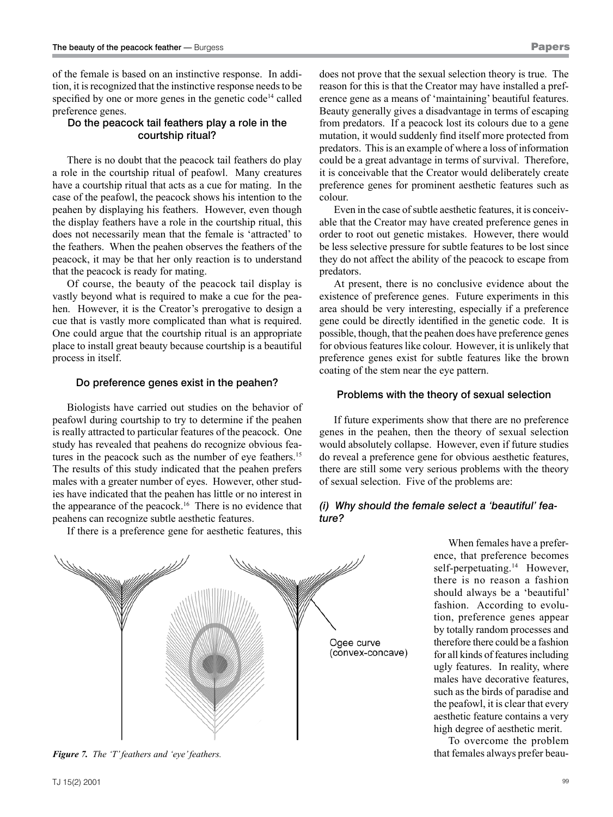of the female is based on an instinctive response. In addition, it is recognized that the instinctive response needs to be specified by one or more genes in the genetic code<sup>14</sup> called preference genes.

## Do the peacock tail feathers play a role in the courtship ritual?

There is no doubt that the peacock tail feathers do play a role in the courtship ritual of peafowl. Many creatures have a courtship ritual that acts as a cue for mating. In the case of the peafowl, the peacock shows his intention to the peahen by displaying his feathers. However, even though the display feathers have a role in the courtship ritual, this does not necessarily mean that the female is 'attracted' to the feathers. When the peahen observes the feathers of the peacock, it may be that her only reaction is to understand that the peacock is ready for mating.

Of course, the beauty of the peacock tail display is vastly beyond what is required to make a cue for the peahen. However, it is the Creator's prerogative to design a cue that is vastly more complicated than what is required. One could argue that the courtship ritual is an appropriate place to install great beauty because courtship is a beautiful process in itself.

## Do preference genes exist in the peahen?

Biologists have carried out studies on the behavior of peafowl during courtship to try to determine if the peahen is really attracted to particular features of the peacock. One study has revealed that peahens do recognize obvious features in the peacock such as the number of eye feathers.<sup>15</sup> The results of this study indicated that the peahen prefers males with a greater number of eyes. However, other studies have indicated that the peahen has little or no interest in the appearance of the peacock.<sup>16</sup> There is no evidence that peahens can recognize subtle aesthetic features.

If there is a preference gene for aesthetic features, this

does not prove that the sexual selection theory is true. The reason for this is that the Creator may have installed a preference gene as a means of 'maintaining' beautiful features. Beauty generally gives a disadvantage in terms of escaping from predators. If a peacock lost its colours due to a gene mutation, it would suddenly find itself more protected from predators. This is an example of where a loss of information could be a great advantage in terms of survival. Therefore, it is conceivable that the Creator would deliberately create preference genes for prominent aesthetic features such as colour.

Even in the case of subtle aesthetic features, it is conceivable that the Creator may have created preference genes in order to root out genetic mistakes. However, there would be less selective pressure for subtle features to be lost since they do not affect the ability of the peacock to escape from predators.

At present, there is no conclusive evidence about the existence of preference genes. Future experiments in this area should be very interesting, especially if a preference gene could be directly identified in the genetic code. It is possible, though, that the peahen does have preference genes for obvious features like colour. However, it is unlikely that preference genes exist for subtle features like the brown coating of the stem near the eye pattern.

# Problems with the theory of sexual selection

If future experiments show that there are no preference genes in the peahen, then the theory of sexual selection would absolutely collapse. However, even if future studies do reveal a preference gene for obvious aesthetic features, there are still some very serious problems with the theory of sexual selection. Five of the problems are:

# *(i) Why should the female select a 'beautiful' feature?*

Ogee curve (convex-concave)

*Figure 7. The 'T' feathers and 'eye' feathers.* that females always prefer beau-

ence, that preference becomes self-perpetuating.<sup>14</sup> However, there is no reason a fashion should always be a 'beautiful' fashion. According to evolution, preference genes appear by totally random processes and therefore there could be a fashion for all kinds of features including ugly features. In reality, where males have decorative features, such as the birds of paradise and the peafowl, it is clear that every aesthetic feature contains a very high degree of aesthetic merit.

When females have a prefer-

To overcome the problem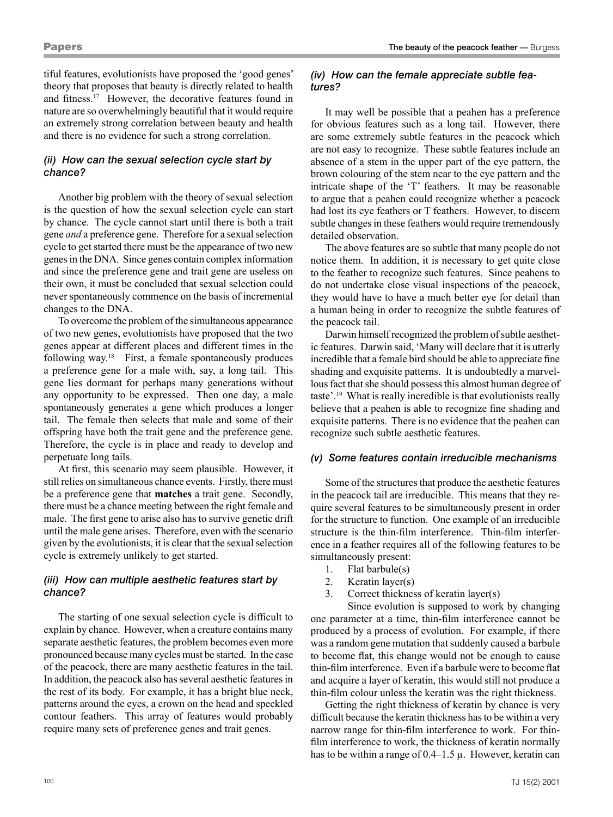tiful features, evolutionists have proposed the 'good genes' theory that proposes that beauty is directly related to health and fitness.17 However, the decorative features found in nature are so overwhelmingly beautiful that it would require an extremely strong correlation between beauty and health and there is no evidence for such a strong correlation.

# *(ii) How can the sexual selection cycle start by chance?*

Another big problem with the theory of sexual selection is the question of how the sexual selection cycle can start by chance. The cycle cannot start until there is both a trait gene *and* a preference gene. Therefore for a sexual selection cycle to get started there must be the appearance of two new genes in the DNA. Since genes contain complex information and since the preference gene and trait gene are useless on their own, it must be concluded that sexual selection could never spontaneously commence on the basis of incremental changes to the DNA.

To overcome the problem of the simultaneous appearance of two new genes, evolutionists have proposed that the two genes appear at different places and different times in the following way.<sup>18</sup> First, a female spontaneously produces a preference gene for a male with, say, a long tail. This gene lies dormant for perhaps many generations without any opportunity to be expressed. Then one day, a male spontaneously generates a gene which produces a longer tail. The female then selects that male and some of their offspring have both the trait gene and the preference gene. Therefore, the cycle is in place and ready to develop and perpetuate long tails.

At first, this scenario may seem plausible. However, it still relies on simultaneous chance events. Firstly, there must be a preference gene that **matches** a trait gene. Secondly, there must be a chance meeting between the right female and male. The first gene to arise also has to survive genetic drift until the male gene arises. Therefore, even with the scenario given by the evolutionists, it is clear that the sexual selection cycle is extremely unlikely to get started.

# *(iii) How can multiple aesthetic features start by chance?*

The starting of one sexual selection cycle is difficult to explain by chance. However, when a creature contains many separate aesthetic features, the problem becomes even more pronounced because many cycles must be started. In the case of the peacock, there are many aesthetic features in the tail. In addition, the peacock also has several aesthetic features in the rest of its body. For example, it has a bright blue neck, patterns around the eyes, a crown on the head and speckled contour feathers. This array of features would probably require many sets of preference genes and trait genes.

## *(iv) How can the female appreciate subtle features?*

It may well be possible that a peahen has a preference for obvious features such as a long tail. However, there are some extremely subtle features in the peacock which are not easy to recognize. These subtle features include an absence of a stem in the upper part of the eye pattern, the brown colouring of the stem near to the eye pattern and the intricate shape of the 'T' feathers. It may be reasonable to argue that a peahen could recognize whether a peacock had lost its eye feathers or T feathers. However, to discern subtle changes in these feathers would require tremendously detailed observation.

The above features are so subtle that many people do not notice them. In addition, it is necessary to get quite close to the feather to recognize such features. Since peahens to do not undertake close visual inspections of the peacock, they would have to have a much better eye for detail than a human being in order to recognize the subtle features of the peacock tail.

Darwin himself recognized the problem of subtle aesthetic features. Darwin said, 'Many will declare that it is utterly incredible that a female bird should be able to appreciate fine shading and exquisite patterns. It is undoubtedly a marvellous fact that she should possess this almost human degree of taste'.19 What is really incredible is that evolutionists really believe that a peahen is able to recognize fine shading and exquisite patterns. There is no evidence that the peahen can recognize such subtle aesthetic features.

# *(v) Some features contain irreducible mechanisms*

Some of the structures that produce the aesthetic features in the peacock tail are irreducible. This means that they require several features to be simultaneously present in order for the structure to function. One example of an irreducible structure is the thin-film interference. Thin-film interference in a feather requires all of the following features to be simultaneously present:

- 1. Flat barbule(s)
- 2. Keratin layer(s)
- 3. Correct thickness of keratin layer(s)

Since evolution is supposed to work by changing one parameter at a time, thin-film interference cannot be produced by a process of evolution. For example, if there was a random gene mutation that suddenly caused a barbule to become flat, this change would not be enough to cause thin-film interference. Even if a barbule were to become flat and acquire a layer of keratin, this would still not produce a thin-film colour unless the keratin was the right thickness.

Getting the right thickness of keratin by chance is very difficult because the keratin thickness has to be within a very narrow range for thin-film interference to work. For thinfilm interference to work, the thickness of keratin normally has to be within a range of 0.4–1.5  $\mu$ . However, keratin can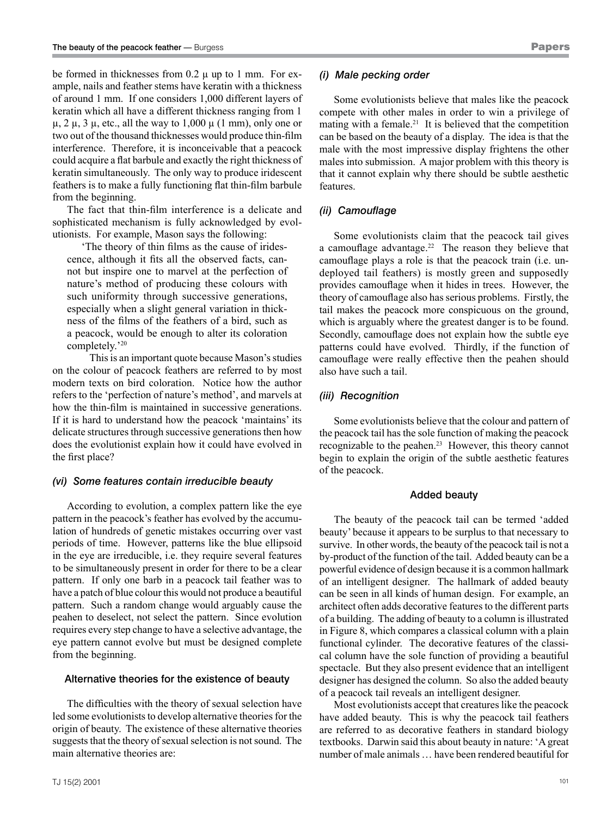be formed in thicknesses from  $0.2 \mu$  up to 1 mm. For example, nails and feather stems have keratin with a thickness of around 1 mm. If one considers 1,000 different layers of keratin which all have a different thickness ranging from 1  $\mu$ , 2  $\mu$ , 3  $\mu$ , etc., all the way to 1,000  $\mu$  (1 mm), only one or two out of the thousand thicknesses would produce thin-film interference. Therefore, it is inconceivable that a peacock could acquire a flat barbule and exactly the right thickness of keratin simultaneously. The only way to produce iridescent feathers is to make a fully functioning flat thin-film barbule from the beginning.

The fact that thin-film interference is a delicate and sophisticated mechanism is fully acknowledged by evolutionists. For example, Mason says the following:

'The theory of thin films as the cause of iridescence, although it fits all the observed facts, cannot but inspire one to marvel at the perfection of nature's method of producing these colours with such uniformity through successive generations, especially when a slight general variation in thickness of the films of the feathers of a bird, such as a peacock, would be enough to alter its coloration completely.'20

This is an important quote because Mason's studies on the colour of peacock feathers are referred to by most modern texts on bird coloration. Notice how the author refers to the 'perfection of nature's method', and marvels at how the thin-film is maintained in successive generations. If it is hard to understand how the peacock 'maintains' its delicate structures through successive generations then how does the evolutionist explain how it could have evolved in the first place?

## *(vi) Some features contain irreducible beauty*

According to evolution, a complex pattern like the eye pattern in the peacock's feather has evolved by the accumulation of hundreds of genetic mistakes occurring over vast periods of time. However, patterns like the blue ellipsoid in the eye are irreducible, i.e. they require several features to be simultaneously present in order for there to be a clear pattern. If only one barb in a peacock tail feather was to have a patch of blue colour this would not produce a beautiful pattern. Such a random change would arguably cause the peahen to deselect, not select the pattern. Since evolution requires every step change to have a selective advantage, the eye pattern cannot evolve but must be designed complete from the beginning.

## Alternative theories for the existence of beauty

The difficulties with the theory of sexual selection have led some evolutionists to develop alternative theories for the origin of beauty. The existence of these alternative theories suggests that the theory of sexual selection is not sound. The main alternative theories are:

## *(i) Male pecking order*

Some evolutionists believe that males like the peacock compete with other males in order to win a privilege of mating with a female.<sup>21</sup> It is believed that the competition can be based on the beauty of a display. The idea is that the male with the most impressive display frightens the other males into submission. A major problem with this theory is that it cannot explain why there should be subtle aesthetic features.

# *(ii) Camouflage*

Some evolutionists claim that the peacock tail gives a camouflage advantage.22 The reason they believe that camouflage plays a role is that the peacock train (i.e. undeployed tail feathers) is mostly green and supposedly provides camouflage when it hides in trees. However, the theory of camouflage also has serious problems. Firstly, the tail makes the peacock more conspicuous on the ground, which is arguably where the greatest danger is to be found. Secondly, camouflage does not explain how the subtle eye patterns could have evolved. Thirdly, if the function of camouflage were really effective then the peahen should also have such a tail.

## *(iii) Recognition*

Some evolutionists believe that the colour and pattern of the peacock tail has the sole function of making the peacock recognizable to the peahen.23 However, this theory cannot begin to explain the origin of the subtle aesthetic features of the peacock.

#### Added beauty

The beauty of the peacock tail can be termed 'added beauty' because it appears to be surplus to that necessary to survive. In other words, the beauty of the peacock tail is not a by-product of the function of the tail. Added beauty can be a powerful evidence of design because it is a common hallmark of an intelligent designer. The hallmark of added beauty can be seen in all kinds of human design. For example, an architect often adds decorative features to the different parts of a building. The adding of beauty to a column is illustrated in Figure 8, which compares a classical column with a plain functional cylinder. The decorative features of the classical column have the sole function of providing a beautiful spectacle. But they also present evidence that an intelligent designer has designed the column. So also the added beauty of a peacock tail reveals an intelligent designer.

Most evolutionists accept that creatures like the peacock have added beauty. This is why the peacock tail feathers are referred to as decorative feathers in standard biology textbooks. Darwin said this about beauty in nature: 'A great number of male animals … have been rendered beautiful for